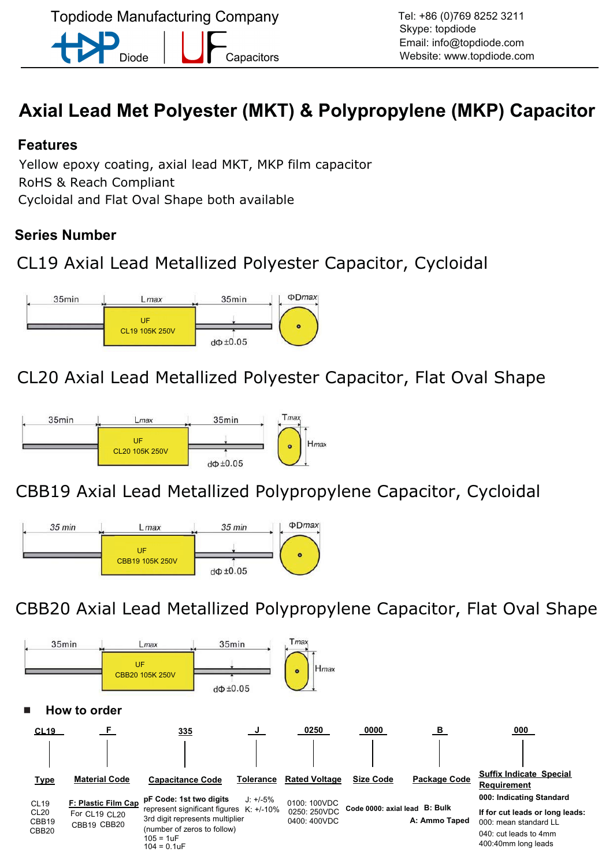**Topdiode Manufacturing Company** Capacitors Diode

# **Axial Lead Met Polyester (MKT) & Polypropylene (MKP) Capacitor**

## **Features**

Yellow epoxy coating, axial lead MKT, MKP film capacitor RoHS & Reach Compliant Cycloidal and Flat Oval Shape both available

## **Series Number**

## CL19 Axial Lead Metallized Polyester Capacitor, Cycloidal



CL20 Axial Lead Metallized Polyester Capacitor, Flat Oval Shape



CBB19 Axial Lead Metallized Polypropylene Capacitor, Cycloidal



CBB20 Axial Lead Metallized Polypropylene Capacitor, Flat Oval Shape

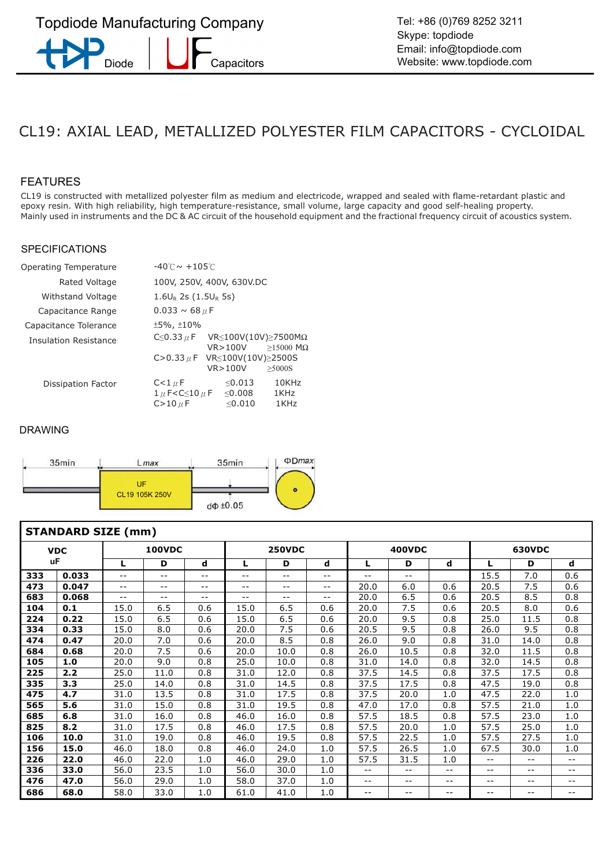## CL19: AXIAL LEAD, METALLIZED POLYESTER FILM CAPACITORS - CYCLOIDAL

#### FEATURES

CL19 is constructed with metallized polyester film as medium and electricode, wrapped and sealed with flame-retardant plastic and epoxy resin. With high reliability, high temperature-resistance, small volume, large capacity and good self-healing property. Mainly used in instruments and the DC & AC circuit of the household equipment and the fractional frequency circuit of acoustics system.

#### **SPECIFICATIONS**

| Operating Temperature        | $-40^{\circ}$ C $\sim +105^{\circ}$ C                                                                |  |  |  |  |  |  |  |  |
|------------------------------|------------------------------------------------------------------------------------------------------|--|--|--|--|--|--|--|--|
| Rated Voltage                | 100V, 250V, 400V, 630V.DC                                                                            |  |  |  |  |  |  |  |  |
| Withstand Voltage            | $1.6U_R$ 2s (1.5U <sub>R</sub> 5s)                                                                   |  |  |  |  |  |  |  |  |
| Capacitance Range            | $0.033 \sim 68 \mu$ F                                                                                |  |  |  |  |  |  |  |  |
| Capacitance Tolerance        | $±5\%$ , $±10\%$                                                                                     |  |  |  |  |  |  |  |  |
| <b>Insulation Resistance</b> | C $\leq$ 0.33 $\mu$ F<br>VR $\leq$ 100V(10V) $\geq$ 7500M $\Omega$<br>VR>100V<br>$>15000$ M $\Omega$ |  |  |  |  |  |  |  |  |
|                              | C>0.33 $\mu$ F VR ≤ 100 V (10 V) ≥ 2500 S                                                            |  |  |  |  |  |  |  |  |
|                              | VR > 100V<br>>5000S                                                                                  |  |  |  |  |  |  |  |  |
| Dissipation Factor           | < 0.013<br>C<1 $\mu$ F<br>10KHz                                                                      |  |  |  |  |  |  |  |  |
|                              | $1 \mu$ F <c<math>\leq10 <math>\mu</math> F<br/><math>&lt;</math> 0.008<br/>1KHz</c<math>            |  |  |  |  |  |  |  |  |
|                              | $C>10 \mu F$<br>< 0.010<br>1KHz                                                                      |  |  |  |  |  |  |  |  |



|     | <b>STANDARD SIZE (mm)</b> |       |                   |                   |       |               |                   |       |               |       |               |       |       |  |
|-----|---------------------------|-------|-------------------|-------------------|-------|---------------|-------------------|-------|---------------|-------|---------------|-------|-------|--|
|     | <b>VDC</b>                |       | <b>100VDC</b>     |                   |       | <b>250VDC</b> |                   |       | <b>400VDC</b> |       | <b>630VDC</b> |       |       |  |
|     | uF                        | L     | D                 | d                 | L     | D             | d                 | L.    | D             | d     | L             | D     | d     |  |
| 333 | 0.033                     | $-$   | $- -$             | $\qquad \qquad -$ | $- -$ | $- -$         | $- -$             | $- -$ | $- -$         |       | 7.0<br>15.5   |       | 0.6   |  |
| 473 | 0.047                     | $- -$ | $\qquad \qquad -$ | $\qquad \qquad -$ | $- -$ | --            | $- -$             | 20.0  | 6.0           | 0.6   | 20.5          | 7.5   | 0.6   |  |
| 683 | 0.068                     | $- -$ | $\qquad \qquad -$ | $\qquad \qquad -$ | $- -$ | $ -$          | $\qquad \qquad -$ | 20.0  | 6.5           | 0.6   | 20.5          | 8.5   | 0.8   |  |
| 104 | 0.1                       | 15.0  | 6.5               | 0.6               | 15.0  | 6.5           | 0.6               | 20.0  | 7.5           | 0.6   | 20.5          | 8.0   | 0.6   |  |
| 224 | 0.22                      | 15.0  | 6.5               | 0.6               | 15.0  | 6.5           | 0.6               | 20.0  | 9.5           | 0.8   | 25.0          | 11.5  | 0.8   |  |
| 334 | 0.33                      | 15.0  | 8.0               | 0.6               | 20.0  | 7.5           | 0.6               | 20.5  | 9.5           | 0.8   | 26.0          | 9.5   | 0.8   |  |
| 474 | 0.47                      | 20.0  | 7.0               | 0.6               | 20.0  | 8.5           | 0.8               | 26.0  | 9.0           | 0.8   | 31.0          | 14.0  | 0.8   |  |
| 684 | 0.68                      | 20.0  | 7.5               | 0.6               | 20.0  | 10.0          | 0.8               | 26.0  | 10.5          | 0.8   | 32.0          | 11.5  | 0.8   |  |
| 105 | 1.0                       | 20.0  | 9.0               | 0.8               | 25.0  | 10.0          | 0.8               | 31.0  | 14.0          | 0.8   | 32.0          | 14.5  | 0.8   |  |
| 225 | 2.2                       | 25.0  | 11.0              | 0.8               | 31.0  | 12.0          | 0.8               | 37.5  | 14.5          | 0.8   | 37.5          | 17.5  | 0.8   |  |
| 335 | 3.3                       | 25.0  | 14.0              | 0.8               | 31.0  | 14.5          | 0.8               | 37.5  | 17.5          | 0.8   | 47.5          | 19.0  | 0.8   |  |
| 475 | 4.7                       | 31.0  | 13.5              | 0.8               | 31.0  | 17.5          | 0.8               | 37.5  | 20.0          | 1.0   | 47.5          | 22.0  | 1.0   |  |
| 565 | 5.6                       | 31.0  | 15.0              | 0.8               | 31.0  | 19.5          | 0.8               | 47.0  | 17.0          | 0.8   | 57.5          | 21.0  | 1.0   |  |
| 685 | 6.8                       | 31.0  | 16.0              | 0.8               | 46.0  | 16.0          | 0.8               | 57.5  | 18.5          | 0.8   | 57.5          | 23.0  | 1.0   |  |
| 825 | 8.2                       | 31.0  | 17.5              | 0.8               | 46.0  | 17.5          | 0.8               | 57.5  | 20.0          | 1.0   | 57.5          | 25.0  | 1.0   |  |
| 106 | 10.0                      | 31.0  | 19.0              | 0.8               | 46.0  | 19.5          | 0.8               | 57.5  | 22.5          | 1.0   | 57.5          | 27.5  | 1.0   |  |
| 156 | 15.0                      | 46.0  | 18.0              | 0.8               | 46.0  | 24.0          | 1.0               | 57.5  | 26.5          | 1.0   | 67.5          | 30.0  | 1.0   |  |
| 226 | 22.0                      | 46.0  | 22.0              | 1.0               | 46.0  | 29.0          | 1.0               | 57.5  | 31.5          | 1.0   | --            | --    | $- -$ |  |
| 336 | 33.0                      | 56.0  | 23.5              | 1.0               | 56.0  | 30.0          | 1.0               | $- -$ | --            | $- -$ | --            | $- -$ | --    |  |
| 476 | 47.0                      | 56.0  | 29.0              | 1.0               | 58.0  | 37.0          | 1.0               | $- -$ | --            | --    | --            | --    | --    |  |
| 686 | 68.0                      | 58.0  | 33.0              | 1.0               | 61.0  | 41.0          | 1.0               | $- -$ | --            | --    | --            | --    | --    |  |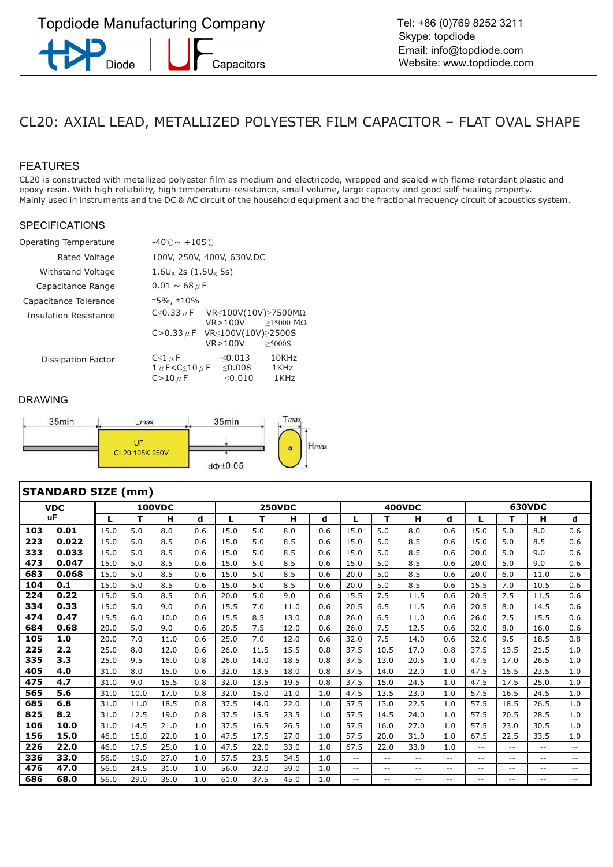## CL20: AXIAL LEAD, METALLIZED POLYESTER FILM CAPACITOR – FLAT OVAL SHAPE

#### FEATURES

CL20 is constructed with metallized polyester film as medium and electricode, wrapped and sealed with flame-retardant plastic and epoxy resin. With high reliability, high temperature-resistance, small volume, large capacity and good self-healing property. Mainly used in instruments and the DC & AC circuit of the household equipment and the fractional frequency circuit of acoustics system.

#### SPECIFICATIONS

| Operating Temperature | $-40^{\circ}$ C $\sim$ +105 $^{\circ}$ C                                                                                                                                  |  |  |  |  |  |  |  |  |
|-----------------------|---------------------------------------------------------------------------------------------------------------------------------------------------------------------------|--|--|--|--|--|--|--|--|
| Rated Voltage         | 100V, 250V, 400V, 630V.DC                                                                                                                                                 |  |  |  |  |  |  |  |  |
| Withstand Voltage     | $1.6U_R$ 2s (1.5U <sub>R</sub> 5s)                                                                                                                                        |  |  |  |  |  |  |  |  |
| Capacitance Range     | $0.01 \sim 68 \mu$ F                                                                                                                                                      |  |  |  |  |  |  |  |  |
| Capacitance Tolerance | $±5\%$ , $±10\%$                                                                                                                                                          |  |  |  |  |  |  |  |  |
| Insulation Resistance | C $\leq$ 0.33 $\mu$ F<br>VR $\leq$ 100V(10V) $\geq$ 7500M $\Omega$<br>VR > 100V<br>$>15000$ M $\Omega$                                                                    |  |  |  |  |  |  |  |  |
|                       | C>0.33 $\mu$ F VR ≤ 100 V (10 V) ≥ 2500 S<br>VR > 100V<br>>5000S                                                                                                          |  |  |  |  |  |  |  |  |
| Dissipation Factor    | < 0.013<br>10KHz<br>$C \leq 1 \mu F$<br>$<$ 0.008<br>$1 \mu$ F <c<math>\leq10 <math>\mu</math> F<br/>1KHz<br/>&lt; 0.010<br/><math>C&gt;10 \mu F</math><br/>1KHz</c<math> |  |  |  |  |  |  |  |  |



|     | <b>STANDARD SIZE (mm)</b> |      |      |               |     |      |      |               |     |                   |       |               |       |        |                          |       |                          |
|-----|---------------------------|------|------|---------------|-----|------|------|---------------|-----|-------------------|-------|---------------|-------|--------|--------------------------|-------|--------------------------|
|     | <b>VDC</b>                |      |      | <b>100VDC</b> |     |      |      | <b>250VDC</b> |     |                   |       | <b>400VDC</b> |       | 630VDC |                          |       |                          |
|     | uF                        | L    | т    | н             | d   | L    | т    | н             | d   | L                 | т     | н             | d     | L      | т                        | н     | d                        |
| 103 | 0.01                      | 15.0 | 5.0  | 8.0           | 0.6 | 15.0 | 5.0  | 8.0           | 0.6 | 15.0              | 5.0   | 8.0           | 0.6   | 15.0   | 5.0                      | 8.0   | 0.6                      |
| 223 | 0.022                     | 15.0 | 5.0  | 8.5           | 0.6 | 15.0 | 5.0  | 8.5           | 0.6 | 15.0              | 5.0   | 8.5           | 0.6   | 15.0   | 5.0                      | 8.5   | 0.6                      |
| 333 | 0.033                     | 15.0 | 5.0  | 8.5           | 0.6 | 15.0 | 5.0  | 8.5           | 0.6 | 15.0              | 5.0   | 8.5           | 0.6   | 20.0   | 5.0                      | 9.0   | 0.6                      |
| 473 | 0.047                     | 15.0 | 5.0  | 8.5           | 0.6 | 15.0 | 5.0  | 8.5           | 0.6 | 15.0              | 5.0   | 8.5           | 0.6   | 20.0   | 5.0                      | 9.0   | 0.6                      |
| 683 | 0.068                     | 15.0 | 5.0  | 8.5           | 0.6 | 15.0 | 5.0  | 8.5           | 0.6 | 20.0              | 5.0   | 8.5           | 0.6   | 20.0   | 6.0                      | 11.0  | 0.6                      |
| 104 | 0.1                       | 15.0 | 5.0  | 8.5           | 0.6 | 15.0 | 5.0  | 8.5           | 0.6 | 20.0              | 5.0   | 8.5           | 0.6   | 15.5   | 7.0                      | 10.5  | 0.6                      |
| 224 | 0.22                      | 15.0 | 5.0  | 8.5           | 0.6 | 20.0 | 5.0  | 9.0           | 0.6 | 15.5              | 7.5   | 11.5          | 0.6   | 20.5   | 7.5                      | 11.5  | 0.6                      |
| 334 | 0.33                      | 15.0 | 5.0  | 9.0           | 0.6 | 15.5 | 7.0  | 11.0          | 0.6 | 20.5              | 6.5   | 11.5          | 0.6   | 20.5   | 8.0                      | 14.5  | 0.6                      |
| 474 | 0.47                      | 15.5 | 6.0  | 10.0          | 0.6 | 15.5 | 8.5  | 13.0          | 0.8 | 26.0              | 6.5   | 11.0          | 0.6   | 26.0   | 7.5                      | 15.5  | 0.6                      |
| 684 | 0.68                      | 20.0 | 5.0  | 9.0           | 0.6 | 20.5 | 7.5  | 12.0          | 0.6 | 26.0              | 7.5   | 12.5          | 0.6   | 32.0   | 8.0                      | 16.0  | 0.6                      |
| 105 | 1.0                       | 20.0 | 7.0  | 11.0          | 0.6 | 25.0 | 7.0  | 12.0          | 0.6 | 32.0              | 7.5   | 14.0          | 0.6   | 32.0   | 9.5                      | 18.5  | 0.8                      |
| 225 | 2.2                       | 25.0 | 8.0  | 12.0          | 0.6 | 26.0 | 11.5 | 15.5          | 0.8 | 37.5              | 10.5  | 17.0          | 0.8   | 37.5   | 13.5                     | 21.5  | 1.0                      |
| 335 | 3.3                       | 25.0 | 9.5  | 16.0          | 0.8 | 26.0 | 14.0 | 18.5          | 0.8 | 37.5              | 13.0  | 20.5          | 1.0   | 47.5   | 17.0                     | 26.5  | 1.0                      |
| 405 | 4.0                       | 31.0 | 8.0  | 15.0          | 0.6 | 32.0 | 13.5 | 18.0          | 0.8 | 37.5              | 14.0  | 22.0          | 1.0   | 47.5   | 15.5                     | 23.5  | 1.0                      |
| 475 | 4.7                       | 31.0 | 9.0  | 15.5          | 0.8 | 32.0 | 13.5 | 19.5          | 0.8 | 37.5              | 15.0  | 24.5          | 1.0   | 47.5   | 17.5                     | 25.0  | 1.0                      |
| 565 | 5.6                       | 31.0 | 10.0 | 17.0          | 0.8 | 32.0 | 15.0 | 21.0          | 1.0 | 47.5              | 13.5  | 23.0          | 1.0   | 57.5   | 16.5                     | 24.5  | 1.0                      |
| 685 | 6.8                       | 31.0 | 11.0 | 18.5          | 0.8 | 37.5 | 14.0 | 22.0          | 1.0 | 57.5              | 13.0  | 22.5          | 1.0   | 57.5   | 18.5                     | 26.5  | 1.0                      |
| 825 | 8.2                       | 31.0 | 12.5 | 19.0          | 0.8 | 37.5 | 15.5 | 23.5          | 1.0 | 57.5              | 14.5  | 24.0          | 1.0   | 57.5   | 20.5                     | 28.5  | 1.0                      |
| 106 | 10.0                      | 31.0 | 14.5 | 21.0          | 1.0 | 37.5 | 16.5 | 26.5          | 1.0 | 57.5              | 16.0  | 27.0          | 1.0   | 57.5   | 23.0                     | 30.5  | 1.0                      |
| 156 | 15.0                      | 46.0 | 15.0 | 22.0          | 1.0 | 47.5 | 17.5 | 27.0          | 1.0 | 57.5              | 20.0  | 31.0          | 1.0   | 67.5   | 22.5                     | 33.5  | 1.0                      |
| 226 | 22.0                      | 46.0 | 17.5 | 25.0          | 1.0 | 47.5 | 22.0 | 33.0          | 1.0 | 67.5              | 22.0  | 33.0          | 1.0   | --     | $\overline{\phantom{m}}$ | $- -$ | $\overline{\phantom{a}}$ |
| 336 | 33.0                      | 56.0 | 19.0 | 27.0          | 1.0 | 57.5 | 23.5 | 34.5          | 1.0 | $\sim$ $\sim$     | $- -$ | $-1$          | $- -$ | $- -$  | $- -$                    | $-1$  | $\sim$ $\sim$            |
| 476 | 47.0                      | 56.0 | 24.5 | 31.0          | 1.0 | 56.0 | 32.0 | 39.0          | 1.0 | $\qquad \qquad -$ | --    | --            | --    | $- -$  | --                       | --    | $\qquad \qquad -$        |
| 686 | 68.0                      | 56.0 | 29.0 | 35.0          | 1.0 | 61.0 | 37.5 | 45.0          | 1.0 | ۰.                | $- -$ | --            | $- -$ | $- -$  | --                       | $- -$ | $\qquad \qquad -$        |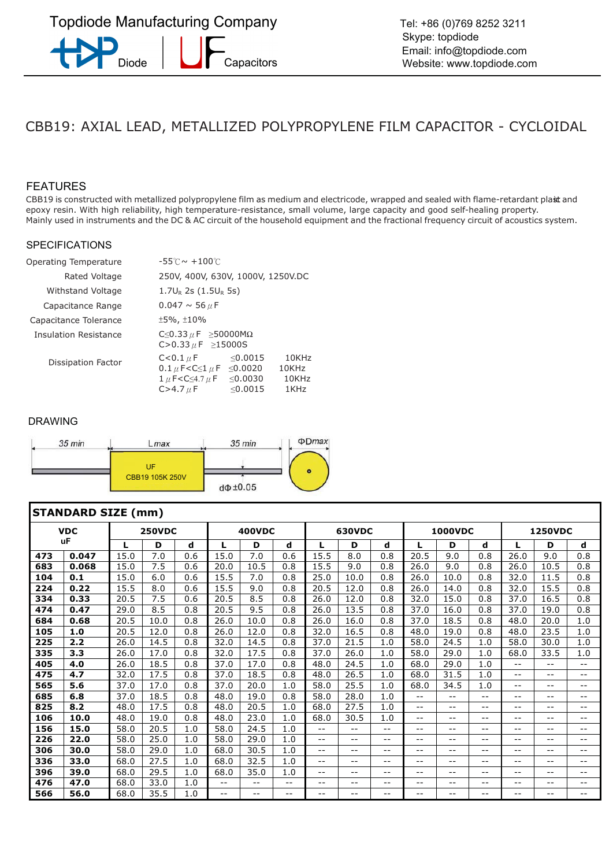## CBB19: AXIAL LEAD, METALLIZED POLYPROPYLENE FILM CAPACITOR - CYCLOIDAL

#### FEATURES

CBB19 is constructed with metallized polypropylene film as medium and electricode, wrapped and sealed with flame-retardant plast and epoxy resin. With high reliability, high temperature-resistance, small volume, large capacity and good self-healing property. Mainly used in instruments and the DC & AC circuit of the household equipment and the fractional frequency circuit of acoustics system.

#### SPECIFICATIONS

| Operating Temperature | $-55^{\circ}$ C $\sim +100^{\circ}$ C                                                                                                                                                                                                                                                                                |  |  |  |  |  |  |  |  |
|-----------------------|----------------------------------------------------------------------------------------------------------------------------------------------------------------------------------------------------------------------------------------------------------------------------------------------------------------------|--|--|--|--|--|--|--|--|
| Rated Voltage         | 250V, 400V, 630V, 1000V, 1250V.DC                                                                                                                                                                                                                                                                                    |  |  |  |  |  |  |  |  |
| Withstand Voltage     | $1.7U_R$ 2s (1.5U <sub>R</sub> 5s)                                                                                                                                                                                                                                                                                   |  |  |  |  |  |  |  |  |
| Capacitance Range     | $0.047 \sim 56 \mu F$                                                                                                                                                                                                                                                                                                |  |  |  |  |  |  |  |  |
| Capacitance Tolerance | $±5\%$ , $±10\%$                                                                                                                                                                                                                                                                                                     |  |  |  |  |  |  |  |  |
| Insulation Resistance | C $\leq$ 0.33 $\mu$ F $\geq$ 50000M $\Omega$<br>C>0.33 $\mu$ F $\geq$ 15000S                                                                                                                                                                                                                                         |  |  |  |  |  |  |  |  |
| Dissipation Factor    | < 0.0015<br>$10K$ H <sub>7</sub><br>$C < 0.1 \mu F$<br>$0.1 \mu$ F <c<math>\leq1 <math>\mu</math> F <math>\leq</math>0.0020<br/>10KHz<br/><math>1 \mu</math> F<c<math>\leq4.7 <math>\mu</math> F<br/><math>&lt;</math> 0.0030<br/>10KHz<br/><math>C &gt; 4.7 \mu F</math><br/>&lt; 0.0015<br/>1KHz</c<math></c<math> |  |  |  |  |  |  |  |  |



|     | <b>STANDARD SIZE (mm)</b> |      |               |     |                   |                   |       |                          |               |       |       |                   |       |                          |                   |       |  |
|-----|---------------------------|------|---------------|-----|-------------------|-------------------|-------|--------------------------|---------------|-------|-------|-------------------|-------|--------------------------|-------------------|-------|--|
|     | <b>VDC</b>                |      | <b>250VDC</b> |     |                   | <b>400VDC</b>     |       |                          | <b>630VDC</b> |       |       | <b>1000VDC</b>    |       | <b>1250VDC</b>           |                   |       |  |
|     | uF                        | L    | D             | d   | L                 | D                 | d     | L                        | D             | d     | т.    | D                 | d     |                          | D                 | d     |  |
| 473 | 0.047                     | 15.0 | 7.0           | 0.6 | 15.0              | 7.0               | 0.6   | 15.5                     | 8.0           | 0.8   | 20.5  | 9.0               | 0.8   | 26.0                     | 9.0               | 0.8   |  |
| 683 | 0.068                     | 15.0 | 7.5           | 0.6 | 20.0              | 10.5              | 0.8   | 15.5                     | 9.0           | 0.8   | 26.0  | 9.0               | 0.8   | 26.0                     | 10.5              | 0.8   |  |
| 104 | 0.1                       | 15.0 | 6.0           | 0.6 | 15.5              | 7.0               | 0.8   | 25.0                     | 10.0          | 0.8   | 26.0  | 10.0              | 0.8   | 32.0                     | 11.5              | 0.8   |  |
| 224 | 0.22                      | 15.5 | 8.0           | 0.6 | 15.5              | 9.0               | 0.8   | 20.5                     | 12.0          | 0.8   | 26.0  | 14.0              | 0.8   | 32.0                     | 15.5              | 0.8   |  |
| 334 | 0.33                      | 20.5 | 7.5           | 0.6 | 20.5              | 8.5               | 0.8   | 26.0                     | 12.0          | 0.8   | 32.0  | 15.0              | 0.8   | 37.0                     | 16.5              | 0.8   |  |
| 474 | 0.47                      | 29.0 | 8.5           | 0.8 | 20.5              | 9.5               | 0.8   | 26.0                     | 13.5          | 0.8   | 37.0  | 16.0              | 0.8   | 37.0                     | 19.0              | 0.8   |  |
| 684 | 0.68                      | 20.5 | 10.0          | 0.8 | 26.0              | 10.0              | 0.8   | 26.0                     | 16.0          | 0.8   | 37.0  | 18.5              | 0.8   | 48.0                     | 20.0              | 1.0   |  |
| 105 | 1.0                       | 20.5 | 12.0          | 0.8 | 26.0              | 12.0              | 0.8   | 32.0                     | 16.5          | 0.8   | 48.0  | 19.0              | 0.8   | 48.0                     | 23.5              | 1.0   |  |
| 225 | 2.2                       | 26.0 | 14.5          | 0.8 | 32.0              | 14.5              | 0.8   | 37.0                     | 21.5          | 1.0   | 58.0  | 24.5              | 1.0   | 58.0                     | 30.0              | 1.0   |  |
| 335 | 3.3                       | 26.0 | 17.0          | 0.8 | 32.0              | 17.5              | 0.8   | 37.0                     | 26.0          | 1.0   | 58.0  | 29.0              | 1.0   | 68.0                     | 33.5              | 1.0   |  |
| 405 | 4.0                       | 26.0 | 18.5          | 0.8 | 37.0              | 17.0              | 0.8   | 48.0                     | 24.5          | 1.0   | 68.0  | 29.0              | 1.0   | --                       | --                | --    |  |
| 475 | 4.7                       | 32.0 | 17.5          | 0.8 | 37.0              | 18.5              | 0.8   | 48.0                     | 26.5          | 1.0   | 68.0  | 31.5              | 1.0   | $-$                      | --                | --    |  |
| 565 | 5.6                       | 37.0 | 17.0          | 0.8 | 37.0              | 20.0              | 1.0   | 58.0                     | 25.5          | 1.0   | 68.0  | 34.5              | 1.0   | $- -$                    | --                | $- -$ |  |
| 685 | 6.8                       | 37.0 | 18.5          | 0.8 | 48.0              | 19.0              | 0.8   | 58.0                     | 28.0          | 1.0   | $- -$ | $\qquad \qquad -$ | $- -$ | --                       | --                | --    |  |
| 825 | 8.2                       | 48.0 | 17.5          | 0.8 | 48.0              | 20.5              | 1.0   | 68.0                     | 27.5          | 1.0   | $- -$ | $-$               | $- -$ | --                       | --                | --    |  |
| 106 | 10.0                      | 48.0 | 19.0          | 0.8 | 48.0              | 23.0              | 1.0   | 68.0                     | 30.5          | 1.0   | $- -$ | $- -$             | $- -$ | $- -$                    | --                | --    |  |
| 156 | 15.0                      | 58.0 | 20.5          | 1.0 | 58.0              | 24.5              | 1.0   | $\overline{\phantom{m}}$ | --            | $- -$ | $- -$ | $- -$             | $- -$ | --                       | $\qquad \qquad -$ | --    |  |
| 226 | 22.0                      | 58.0 | 25.0          | 1.0 | 58.0              | 29.0              | 1.0   | --                       | $- -$         | --    | --    | $ -$              | $- -$ | --                       | $- -$             | $- -$ |  |
| 306 | 30.0                      | 58.0 | 29.0          | 1.0 | 68.0              | 30.5              | 1.0   | $-1$                     | --            | --    | --    | $- -$             | $- -$ | --                       | $- -$             | --    |  |
| 336 | 33.0                      | 68.0 | 27.5          | 1.0 | 68.0              | 32.5              | 1.0   | --                       | --            | --    | --    | $- -$             | $- -$ | $\overline{\phantom{m}}$ | --                | --    |  |
| 396 | 39.0                      | 68.0 | 29.5          | 1.0 | 68.0              | 35.0              | 1.0   | $\qquad \qquad -$        | $- -$         | $- -$ | --    | $- -$             | $- -$ | $- -$                    | $- -$             | --    |  |
| 476 | 47.0                      | 68.0 | 33.0          | 1.0 | $\qquad \qquad -$ | $\qquad \qquad -$ | $- -$ | --                       | --            | --    | --    | $ -$              | $- -$ | --                       | $\qquad \qquad -$ | --    |  |
| 566 | 56.0                      | 68.0 | 35.5          | 1.0 | $-$               | $- -$             | --    | --                       | --            | --    | --    | $\qquad \qquad -$ | $- -$ | --                       | --                | --    |  |